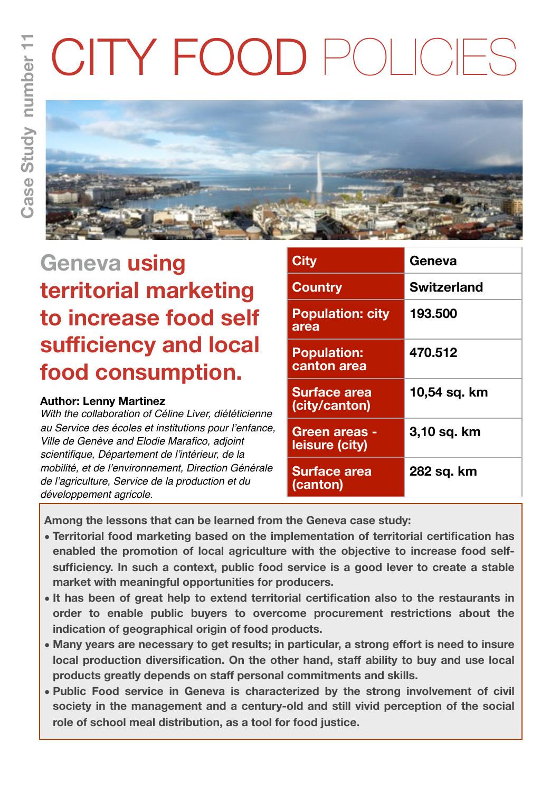# CITY FOOD POLICIES



# **Geneva using territorial marketing to increase food self sufficiency and local food consumption.**

# **Author: Lenny Martinez**

*With the collaboration of Céline Liver, diététicienne au Service des écoles et institutions pour l'enfance, Ville de Genève and Elodie Marafico, adjoint scientifique, Département de l'intérieur, de la mobilité, et de l'environnement, Direction Générale de l'agriculture, Service de la production et du développement agricole.*

| <b>City</b>                            | Geneva             |
|----------------------------------------|--------------------|
| <b>Country</b>                         | <b>Switzerland</b> |
| <b>Population: city</b><br>area        | 193.500            |
| <b>Population:</b><br>canton area      | 470.512            |
| <b>Surface area</b><br>(city/canton)   | 10,54 sq. km       |
| <b>Green areas -</b><br>leisure (city) | 3,10 sq. km        |
| <b>Surface area</b><br>(canton)        | 282 sq. km         |

**Among the lessons that can be learned from the Geneva case study:** 

- **• Territorial food marketing based on the implementation of territorial certification has enabled the promotion of local agriculture with the objective to increase food selfsufficiency. In such a context, public food service is a good lever to create a stable market with meaningful opportunities for producers.**
- **• It has been of great help to extend territorial certification also to the restaurants in order to enable public buyers to overcome procurement restrictions about the indication of geographical origin of food products.**
- **• Many years are necessary to get results; in particular, a strong effort is need to insure local production diversification. On the other hand, staff ability to buy and use local products greatly depends on staff personal commitments and skills.**
- **• Public Food service in Geneva is characterized by the strong involvement of civil society in the management and a century-old and still vivid perception of the social role of school meal distribution, as a tool for food justice.**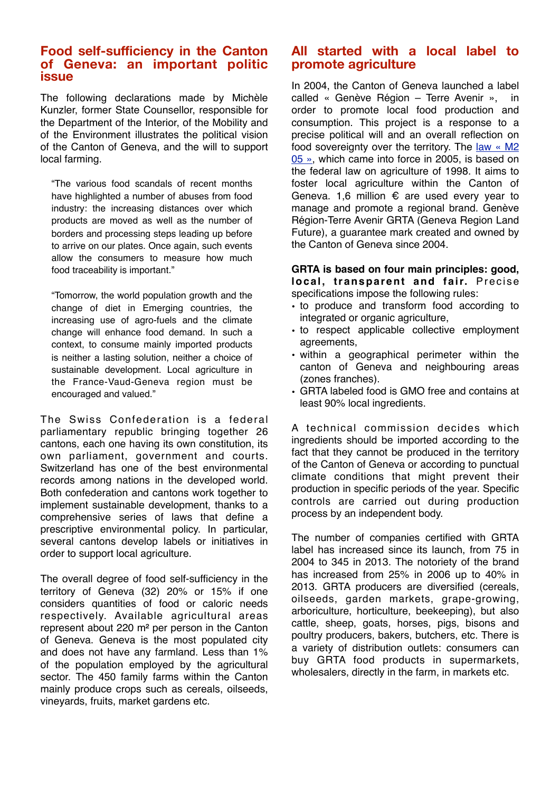## **Food self-sufficiency in the Canton of Geneva: an important politic issue**

The following declarations made by Michèle Kunzler, former State Counsellor, responsible for the Department of the Interior, of the Mobility and of the Environment illustrates the political vision of the Canton of Geneva, and the will to support local farming.

"The various food scandals of recent months have highlighted a number of abuses from food industry: the increasing distances over which products are moved as well as the number of borders and processing steps leading up before to arrive on our plates. Once again, such events allow the consumers to measure how much food traceability is important."

"Tomorrow, the world population growth and the change of diet in Emerging countries, the increasing use of agro-fuels and the climate change will enhance food demand. In such a context, to consume mainly imported products is neither a lasting solution, neither a choice of sustainable development. Local agriculture in the France-Vaud-Geneva region must be encouraged and valued."

The Swiss Confederation is a federal parliamentary republic bringing together 26 cantons, each one having its own constitution, its own parliament, government and courts. Switzerland has one of the best environmental records among nations in the developed world. Both confederation and cantons work together to implement sustainable development, thanks to a comprehensive series of laws that define a prescriptive environmental policy. In particular, several cantons develop labels or initiatives in order to support local agriculture.

The overall degree of food self-sufficiency in the territory of Geneva (32) 20% or 15% if one considers quantities of food or caloric needs respectively. Available agricultural areas represent about 220 m² per person in the Canton of Geneva. Geneva is the most populated city and does not have any farmland. Less than 1% of the population employed by the agricultural sector. The 450 family farms within the Canton mainly produce crops such as cereals, oilseeds, vineyards, fruits, market gardens etc.

# **All started with a local label to promote agriculture**

In 2004, the Canton of Geneva launched a label called « Genève Région – Terre Avenir », in order to promote local food production and consumption. This project is a response to a precise political will and an overall reflection on food sovereignty over the territory. The [law «](http://www.ge.ch/legislation/rsg/f/rsg_m2_05.html) M2 [05](http://www.ge.ch/legislation/rsg/f/rsg_m2_05.html) », which came into force in 2005, is based on the federal law on agriculture of 1998. It aims to foster local agriculture within the Canton of Geneva. 1,6 million  $\epsilon$  are used every year to manage and promote a regional brand. Genève Région-Terre Avenir GRTA (Geneva Region Land Future), a guarantee mark created and owned by the Canton of Geneva since 2004.

#### **GRTA is based on four main principles: good, local, transparent and fair.** Precise specifications impose the following rules:

- to produce and transform food according to integrated or organic agriculture,
- to respect applicable collective employment agreements,
- within a geographical perimeter within the canton of Geneva and neighbouring areas (zones franches).
- GRTA labeled food is GMO free and contains at least 90% local ingredients.

A technical commission decides which ingredients should be imported according to the fact that they cannot be produced in the territory of the Canton of Geneva or according to punctual climate conditions that might prevent their production in specific periods of the year. Specific controls are carried out during production process by an independent body.

The number of companies certified with GRTA label has increased since its launch, from 75 in 2004 to 345 in 2013. The notoriety of the brand has increased from 25% in 2006 up to 40% in 2013. GRTA producers are diversified (cereals, oilseeds, garden markets, grape-growing, arboriculture, horticulture, beekeeping), but also cattle, sheep, goats, horses, pigs, bisons and poultry producers, bakers, butchers, etc. There is a variety of distribution outlets: consumers can buy GRTA food products in supermarkets, wholesalers, directly in the farm, in markets etc.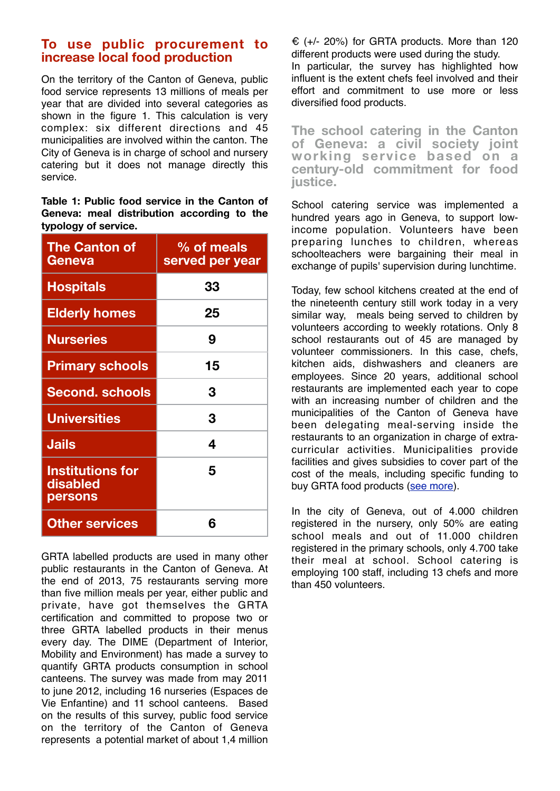# **To use public procurement to increase local food production**

On the territory of the Canton of Geneva, public food service represents 13 millions of meals per year that are divided into several categories as shown in the figure 1. This calculation is very complex: six different directions and 45 municipalities are involved within the canton. The City of Geneva is in charge of school and nursery catering but it does not manage directly this service.

**Table 1: Public food service in the Canton of Geneva: meal distribution according to the typology of service.**

| <b>The Canton of</b><br>Geneva                        | % of meals<br>served per year |
|-------------------------------------------------------|-------------------------------|
| <b>Hospitals</b>                                      | 33                            |
| <b>Elderly homes</b>                                  | 25                            |
| <b>Nurseries</b>                                      | 9                             |
| <b>Primary schools</b>                                | 15                            |
| <b>Second. schools</b>                                | 3                             |
| <b>Universities</b>                                   | 3                             |
| <b>Jails</b>                                          | 4                             |
| <b>Institutions for</b><br>disabled<br><b>persons</b> | 5                             |
| <b>Other services</b>                                 | 6                             |

GRTA labelled products are used in many other public restaurants in the Canton of Geneva. At the end of 2013, 75 restaurants serving more than five million meals per year, either public and private, have got themselves the GRTA certification and committed to propose two or three GRTA labelled products in their menus every day. The DIME (Department of Interior, Mobility and Environment) has made a survey to quantify GRTA products consumption in school canteens. The survey was made from may 2011 to june 2012, including 16 nurseries (Espaces de Vie Enfantine) and 11 school canteens. Based on the results of this survey, public food service on the territory of the Canton of Geneva represents a potential market of about 1,4 million

 $\epsilon$  (+/- 20%) for GRTA products. More than 120 different products were used during the study. In particular, the survey has highlighted how influent is the extent chefs feel involved and their effort and commitment to use more or less diversified food products.

**The school catering in the Canton of Geneva: a civil society joint working service based on a century-old commitment for food justice.** 

School catering service was implemented a hundred years ago in Geneva, to support lowincome population. Volunteers have been preparing lunches to children, whereas schoolteachers were bargaining their meal in exchange of pupils' supervision during lunchtime.

Today, few school kitchens created at the end of the nineteenth century still work today in a very similar way, meals being served to children by volunteers according to weekly rotations. Only 8 school restaurants out of 45 are managed by volunteer commissioners. In this case, chefs, kitchen aids, dishwashers and cleaners are employees. Since 20 years, additional school restaurants are implemented each year to cope with an increasing number of children and the municipalities of the Canton of Geneva have been delegating meal-serving inside the restaurants to an organization in charge of extracurricular activities. Municipalities provide facilities and gives subsidies to cover part of the cost of the meals, including specific funding to buy GRTA food products [\(see more\)](http://www.cuisinesscolaires.ch/%20and%20http://www.giap.ch/).

In the city of Geneva, out of 4.000 children registered in the nursery, only 50% are eating school meals and out of 11.000 children registered in the primary schools, only 4.700 take their meal at school. School catering is employing 100 staff, including 13 chefs and more than 450 volunteers.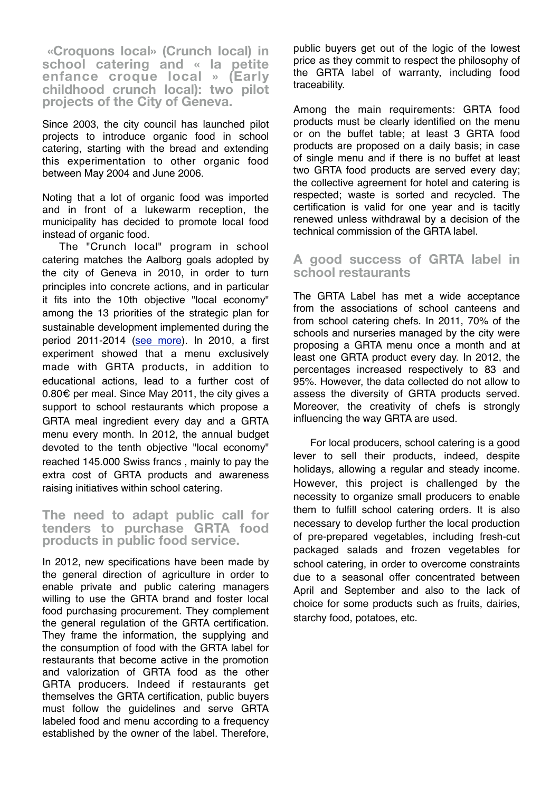**«Croquons local» (Crunch local) in school catering and « la petite enfance croque local » (Early childhood crunch local): two pilot projects of the City of Geneva.** 

Since 2003, the city council has launched pilot projects to introduce organic food in school catering, starting with the bread and extending this experimentation to other organic food between May 2004 and June 2006.

Noting that a lot of organic food was imported and in front of a lukewarm reception, the municipality has decided to promote local food instead of organic food.

The "Crunch local" program in school catering matches the Aalborg goals adopted by the city of Geneva in 2010, in order to turn principles into concrete actions, and in particular it fits into the 10th objective "local economy" among the 13 priorities of the strategic plan for sustainable development implemented during the period 2011-2014 [\(see more\)](http://www.ville-geneve.ch/themes/developpement-durable-energie/geneve-ville-durable/geneve-ville-durable/). In 2010, a first experiment showed that a menu exclusively made with GRTA products, in addition to educational actions, lead to a further cost of 0.80€ per meal. Since May 2011, the city gives a support to school restaurants which propose a GRTA meal ingredient every day and a GRTA menu every month. In 2012, the annual budget devoted to the tenth objective "local economy" reached 145.000 Swiss francs , mainly to pay the extra cost of GRTA products and awareness raising initiatives within school catering.

**The need to adapt public call for tenders to purchase GRTA food products in public food service.** 

In 2012, new specifications have been made by the general direction of agriculture in order to enable private and public catering managers willing to use the GRTA brand and foster local food purchasing procurement. They complement the general regulation of the GRTA certification. They frame the information, the supplying and the consumption of food with the GRTA label for restaurants that become active in the promotion and valorization of GRTA food as the other GRTA producers. Indeed if restaurants get themselves the GRTA certification, public buyers must follow the guidelines and serve GRTA labeled food and menu according to a frequency established by the owner of the label. Therefore,

public buyers get out of the logic of the lowest price as they commit to respect the philosophy of the GRTA label of warranty, including food traceability.

Among the main requirements: GRTA food products must be clearly identified on the menu or on the buffet table; at least 3 GRTA food products are proposed on a daily basis; in case of single menu and if there is no buffet at least two GRTA food products are served every day; the collective agreement for hotel and catering is respected; waste is sorted and recycled. The certification is valid for one year and is tacitly renewed unless withdrawal by a decision of the technical commission of the GRTA label.

## **A good success of GRTA label in school restaurants**

The GRTA Label has met a wide acceptance from the associations of school canteens and from school catering chefs. In 2011, 70% of the schools and nurseries managed by the city were proposing a GRTA menu once a month and at least one GRTA product every day. In 2012, the percentages increased respectively to 83 and 95%. However, the data collected do not allow to assess the diversity of GRTA products served. Moreover, the creativity of chefs is strongly influencing the way GRTA are used.

For local producers, school catering is a good lever to sell their products, indeed, despite holidays, allowing a regular and steady income. However, this project is challenged by the necessity to organize small producers to enable them to fulfill school catering orders. It is also necessary to develop further the local production of pre-prepared vegetables, including fresh-cut packaged salads and frozen vegetables for school catering, in order to overcome constraints due to a seasonal offer concentrated between April and September and also to the lack of choice for some products such as fruits, dairies, starchy food, potatoes, etc.